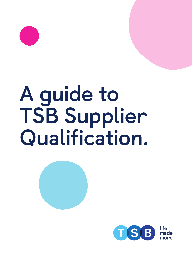

# **A guide to TSB Supplier Qualification.**



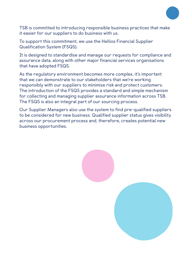

TSB is committed to introducing responsible business practices that make it easier for our suppliers to do business with us.

To support this commitment, we use the Hellios Financial Supplier Qualification System (FSQS).

It is designed to standardise and manage our requests for compliance and assurance data, along with other major financial services organisations that have adopted FSQS.

As the regulatory environment becomes more complex, it's important that we can demonstrate to our stakeholders that we're working responsibly with our suppliers to minimise risk and protect customers. The introduction of the FSQS provides a standard and simple mechanism for collecting and managing supplier assurance information across TSB. The FSQS is also an integral part of our sourcing process.

Our Supplier Managers also use the system to find pre-qualified suppliers to be considered for new business. Qualified supplier status gives visibility across our procurement process and, therefore, creates potential new business opportunities.

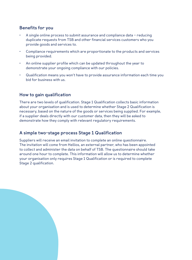## **Benefits for you**

- A single online process to submit assurance and compliance data reducing duplicate requests from TSB and other financial services customers who you provide goods and services to.
- Compliance requirements which are proportionate to the products and services being provided.
- An online supplier profile which can be updated throughout the year to demonstrate your ongoing compliance with our policies.
- Qualification means you won't have to provide assurance information each time you bid for business with us.

## **How to gain qualification**

There are two levels of qualification. Stage 1 Qualification collects basic information about your organisation and is used to determine whether Stage 2 Qualification is necessary, based on the nature of the goods or services being supplied. For example, if a supplier deals directly with our customer data, then they will be asked to demonstrate how they comply with relevant regulatory requirements.

## **A simple two-stage process Stage 1 Qualification**

Suppliers will receive an email invitation to complete an online questionnaire. The invitation will come from Hellios, an external partner, who has been appointed to collect and administer the data on behalf of TSB. The questionnaire should take around one hour to complete. This information will allow us to determine whether your organisation only requires Stage 1 Qualification or is required to complete Stage 2 qualification.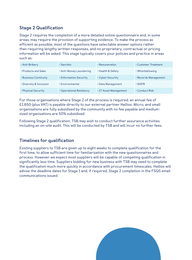# **Stage 2 Qualification**

Stage 2 requires the completion of a more detailed online questionnaire and, in some areas, may require the provision of supporting evidence. To make the process as efficient as possible, most of the questions have selectable answer options rather than requiring lengthy written responses, and no proprietary, contractual or pricing information will be asked. This stage typically covers your policies and practice in areas such as:

| · Anti-Bribery          | $\cdot$ Sanction         | · Remuneration        | . Customer Treatment |
|-------------------------|--------------------------|-----------------------|----------------------|
| • Products and Sales    | · Anti-Money Laundering  | · Health & Safety     | · Whistleblowing     |
| . Business Continuity   | . Information Security   | . Cyber Security      | · Records Management |
| · Diversity & Inclusion | · Environmental          | • Data Management     | $\cdot$ GDPR         |
| • Physical Security     | • Operational Resiliency | · IT Asset Management | $\cdot$ Conduct Risk |

For those organisations where Stage 2 of the process is required, an annual fee of £1,650 (plus VAT) is payable directly to our external partner Hellios. Micro, and small organisations are fully subsidised by the community with no fee payable and mediumsized organisations are 50% subsidised.

Following Stage 2 qualification, TSB may wish to conduct further assurance activities including an on-site audit. This will be conducted by TSB and will incur no further fees.

## **Timelines for qualification**

Existing suppliers to TSB are given up to eight weeks to complete qualification for the first time, to allow sufficient time for familiarisation with the new questionnaires and process. However we expect most suppliers will be capable of competing qualification in significantly less time. Suppliers bidding for new business with TSB may need to complete the qualification much more quickly in accordance with procurement timescales. Hellios will advise the deadline dates for Stage 1 and, if required, Stage 2 completion in the FSQS email communications issued.

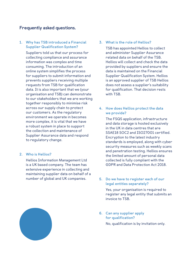### **Frequently asked questions.**

**1. Why has TSB introduced a Financial Supplier Qualification System?**

Suppliers told us that our process for collecting compliance and assurance information was complex and time consuming. The introduction of an online system simplifies the process for suppliers to submit information and prevents suppliers receiving multiple requests from TSB for qualification data. It is also important that we (your organisation and TSB) can demonstrate to our stakeholders that we are working together responsibly to minimise risk across our supply chain to protect our customers. As the regulatory environment we operate in becomes more complex, it is vital that we have a robust system in place to support the collection and maintenance of Supplier Assurance data and respond to regulatory change.

#### **2. Who is Hellios?**

Hellios Information Management Ltd is a UK based company. The team has extensive experience in collecting and maintaining supplier data on behalf of a number of global and UK companies.

**3. What is the role of Hellios?**

TSB has appointed Hellios to collect and administer Supplier Assurance related data on behalf of the TSB. Hellios will collect and check the data provided by suppliers and ensure the data is maintained on the Financial Supplier Qualification System. Hellios is an approved supplier of TSB Hellios does not assess a supplier's suitability for qualification. That decision rests with TSB.

**4. How does Hellios protect the data we provide?**

> The FSQS application, infrastructure and data storage is hosted exclusively in the UK in data centres that are SSAE18 SOC2 and ISO27001 certified. Encryption to the latest industry standards is employed, along with cyber security measures such as weekly scans and penetration testing. Hellios ensures the limited amount of personal data collected is fully compliant with the GDPR and Data Protection Act 2018.

#### **5. Do we have to register each of our legal entities separately?**

Yes, your organisation is required to register any legal entity that submits an invoice to TSB.

**6. Can any supplier apply for qualification?**

No, qualification is by invitation only.

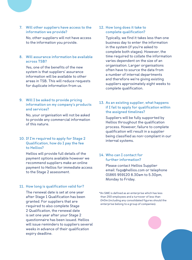**7. Will other suppliers have access to the information we provide?**

No, other suppliers will not have access to the information you provide.

**8. Will assurance information be available across TSB?**

Yes, one of the benefits of the new system is that suppliers' assurance information will be available to other areas in TSB. This will reduce requests for duplicate information from us.

**9. Will I be asked to provide pricing information on my company's products and services?**

No, your organisation will not be asked to provide any commercial information of this nature.

#### **10. If I'm required to apply for Stage 2 Qualification, how do I pay the fee to Hellios?**

Hellios will provide full details of the payment options available however we recommend suppliers make an online payment to Hellios for immediate access to the Stage 2 assessment.

#### **11. How long is qualification valid for?**

The renewal date is set at one year after Stage 1 Qualification has been granted. For suppliers that are required to also complete Stage 2 Qualification, the renewal date is set one year after your Stage 2 questionnaire has been issued. Hellios will issue reminders to suppliers several weeks in advance of their qualification expiry deadline.

#### **12. How long does it take to complete qualification?**

Typically, we find it takes less than one business day to enter the information in the system (if you're asked to complete both stages). However, the time required to collate the information varies dependent on the size of an organisation. Larger organisations often have to source the data from a number of internal departments and therefore we're giving existing suppliers approximately eight weeks to complete qualification.

#### **13. As an existing supplier, what happens if I fail to apply for qualification within the assigned timelines?**

Suppliers will be fully supported by Hellios throughout the qualification process. However, failure to complete qualification will result in a supplier being classified as non-compliant in our internal systems.

#### **14. Who can I contact for further information?**

Please contact Hellios Supplier email: fsqs@hellios.com or telephone 01865 959120 8.30am to 5.30pm, Monday to Friday.

\*An SME is defined as an enterprise which has less than 250 employees and a turnover of less than £40m (including any consolidated figures should the enterprise belong to a group of companies).